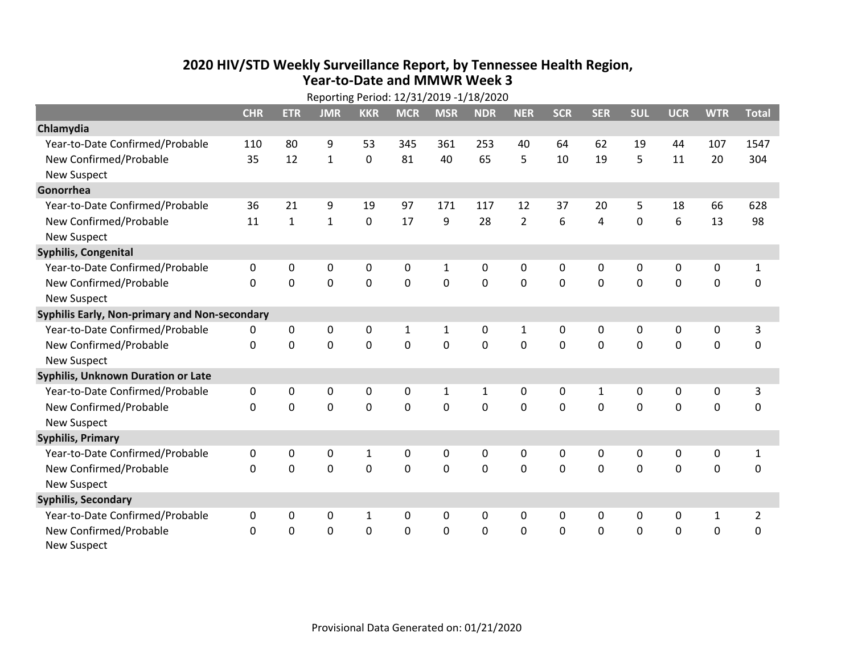## **2020 HIV /STD Weekly Surveillance Report, by Tennessee Health Region, Year‐to‐Date and MMWR Week 3** Reporting Period: 12/31/2019 ‐1/18/2020

| Reporting Period: 12/31/2019 -1/18/2020       |              |              |              |              |              |              |                |                |            |                |                |              |              |                |
|-----------------------------------------------|--------------|--------------|--------------|--------------|--------------|--------------|----------------|----------------|------------|----------------|----------------|--------------|--------------|----------------|
|                                               | <b>CHR</b>   | <b>ETR</b>   | <b>JMR</b>   | <b>KKR</b>   | <b>MCR</b>   | <b>MSR</b>   | <b>NDR</b>     | <b>NER</b>     | <b>SCR</b> | <b>SER</b>     | <b>SUL</b>     | <b>UCR</b>   | <b>WTR</b>   | <b>Total</b>   |
| Chlamydia                                     |              |              |              |              |              |              |                |                |            |                |                |              |              |                |
| Year-to-Date Confirmed/Probable               | 110          | 80           | 9            | 53           | 345          | 361          | 253            | 40             | 64         | 62             | 19             | 44           | 107          | 1547           |
| New Confirmed/Probable                        | 35           | 12           | $\mathbf{1}$ | $\mathbf 0$  | 81           | 40           | 65             | 5              | 10         | 19             | 5              | 11           | 20           | 304            |
| <b>New Suspect</b>                            |              |              |              |              |              |              |                |                |            |                |                |              |              |                |
| Gonorrhea                                     |              |              |              |              |              |              |                |                |            |                |                |              |              |                |
| Year-to-Date Confirmed/Probable               | 36           | 21           | 9            | 19           | 97           | 171          | 117            | 12             | 37         | 20             | 5              | 18           | 66           | 628            |
| New Confirmed/Probable                        | 11           | $\mathbf{1}$ | $\mathbf{1}$ | 0            | 17           | 9            | 28             | $\overline{2}$ | 6          | $\overline{4}$ | $\mathbf 0$    | 6            | 13           | 98             |
| <b>New Suspect</b>                            |              |              |              |              |              |              |                |                |            |                |                |              |              |                |
| <b>Syphilis, Congenital</b>                   |              |              |              |              |              |              |                |                |            |                |                |              |              |                |
| Year-to-Date Confirmed/Probable               | 0            | 0            | 0            | 0            | 0            | $\mathbf{1}$ | 0              | 0              | 0          | 0              | 0              | 0            | 0            | $\mathbf{1}$   |
| New Confirmed/Probable                        | $\Omega$     | $\Omega$     | 0            | $\Omega$     | 0            | $\mathbf 0$  | 0              | $\Omega$       | $\Omega$   | $\Omega$       | $\Omega$       | $\mathbf 0$  | 0            | 0              |
| <b>New Suspect</b>                            |              |              |              |              |              |              |                |                |            |                |                |              |              |                |
| Syphilis Early, Non-primary and Non-secondary |              |              |              |              |              |              |                |                |            |                |                |              |              |                |
| Year-to-Date Confirmed/Probable               | 0            | 0            | 0            | 0            | $\mathbf{1}$ | $\mathbf{1}$ | 0              | $\mathbf{1}$   | 0          | 0              | 0              | 0            | 0            | 3              |
| New Confirmed/Probable                        | $\Omega$     | $\mathbf{0}$ | 0            | 0            | $\mathbf 0$  | $\mathbf 0$  | 0              | $\Omega$       | $\Omega$   | $\mathbf 0$    | 0              | 0            | $\mathbf 0$  | 0              |
| <b>New Suspect</b>                            |              |              |              |              |              |              |                |                |            |                |                |              |              |                |
| Syphilis, Unknown Duration or Late            |              |              |              |              |              |              |                |                |            |                |                |              |              |                |
| Year-to-Date Confirmed/Probable               | 0            | $\mathbf{0}$ | 0            | 0            | 0            | $\mathbf{1}$ | $\mathbf{1}$   | 0              | $\Omega$   | 1              | $\mathbf{0}$   | 0            | 0            | 3              |
| New Confirmed/Probable                        | $\Omega$     | $\Omega$     | 0            | $\mathbf 0$  | $\mathbf 0$  | $\mathbf{0}$ | $\overline{0}$ | $\Omega$       | $\Omega$   | $\Omega$       | $\overline{0}$ | $\mathbf 0$  | $\mathbf 0$  | $\mathbf 0$    |
| <b>New Suspect</b>                            |              |              |              |              |              |              |                |                |            |                |                |              |              |                |
| <b>Syphilis, Primary</b>                      |              |              |              |              |              |              |                |                |            |                |                |              |              |                |
| Year-to-Date Confirmed/Probable               | $\mathbf{0}$ | 0            | 0            | $\mathbf{1}$ | $\Omega$     | $\mathbf{0}$ | 0              | $\Omega$       | $\Omega$   | $\mathbf{0}$   | $\mathbf{0}$   | $\mathbf{0}$ | $\mathbf 0$  | $\mathbf{1}$   |
| New Confirmed/Probable                        | $\Omega$     | 0            | 0            | $\mathbf 0$  | $\mathbf 0$  | $\mathbf 0$  | $\Omega$       | $\Omega$       | $\Omega$   | $\Omega$       | $\mathbf 0$    | $\mathbf 0$  | $\mathbf 0$  | $\mathbf 0$    |
| <b>New Suspect</b>                            |              |              |              |              |              |              |                |                |            |                |                |              |              |                |
| <b>Syphilis, Secondary</b>                    |              |              |              |              |              |              |                |                |            |                |                |              |              |                |
| Year-to-Date Confirmed/Probable               | 0            | 0            | 0            | $\mathbf{1}$ | 0            | 0            | 0              | $\mathbf{0}$   | 0          | $\mathbf{0}$   | $\mathbf{0}$   | 0            | $\mathbf{1}$ | $\overline{2}$ |
| New Confirmed/Probable                        | $\mathbf 0$  | 0            | 0            | 0            | 0            | $\mathbf 0$  | 0              | $\Omega$       | $\Omega$   | $\mathbf 0$    | 0              | 0            | $\mathbf 0$  | 0              |
| <b>New Suspect</b>                            |              |              |              |              |              |              |                |                |            |                |                |              |              |                |